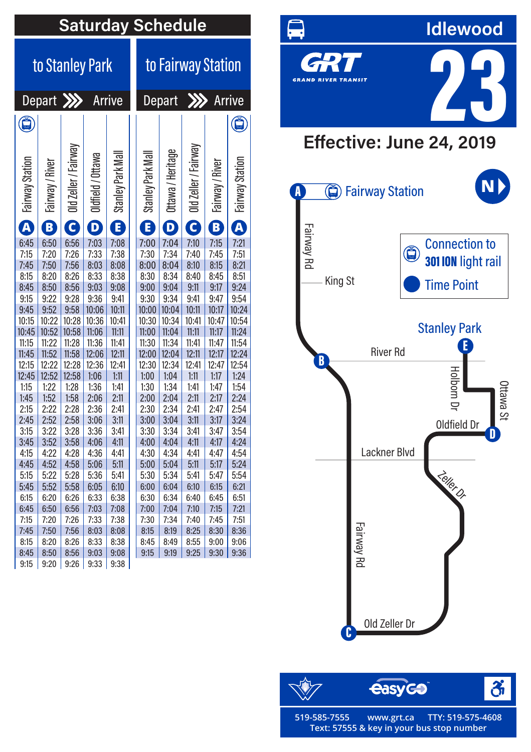| to Fairway Station<br>to Stanley Park<br>Depart XX<br>$\gg$<br>Arrive<br>Arrive<br>Depart<br>Ő<br>$\ddot{\bf G}$<br>/Fairway<br>/ Fairway<br>/ Heritage<br>Ottawa<br>Park Mal<br>Park Mal<br>Station<br>' River<br>River<br>Station<br>$0$ ld Zeller /<br>Old Zeller<br>Stanley <b>H</b><br>Fairway 9<br>Fairway:<br>Stanley F<br>Oldfield<br>Ottawa /<br>Fairway<br>Fairway<br>G<br>B<br>$\overline{\mathbf{A}}$<br>$\overline{\mathbf{A}}$<br>$\overline{\mathbf{c}}$<br>B<br>D.<br>Ε<br>E)<br>D<br>6:45<br>6:50<br>6:56<br>7:03<br>7:08<br>7:04<br>7:10<br>7:15<br>7:21<br>7:00<br>7:20<br>7:26<br>7:33<br>7:38<br>7:30<br>7:34<br>7:40<br>7:45<br>7:51<br>7:15<br>7:50<br>7:56<br>8:21<br>7:45<br>8:03<br>8:08<br>8:00<br>8:04<br>8:10<br>8:15<br>8:20<br>8:26<br>8:33<br>8:38<br>8:51<br>8:15<br>8:30<br>8:34<br>8:40<br>8:45<br>8:50<br>8:56<br>9:24<br>8:45<br>9:03<br>9:08<br>9:00<br>9:04<br>9:11<br>9:17<br>9:22<br>9:28<br>9:36<br>9:34<br>9:54<br>9:15<br>9:41<br>9:30<br>9:41<br>9:47<br>9:52<br>9:58<br>10:04<br>9:45<br>10:06<br>10:11<br>10:00<br>10:11<br>10:17<br>10:24<br>10:22<br>10:28<br>10:36<br>10:30<br>10:34<br>10:47<br>10:54<br>10:15<br>10:41<br>10:41<br>10:52<br>11:06<br>11:04<br>11:24<br>10:45<br>10:58<br>11:11<br>11:00<br>11:11<br>11:17<br>11:22<br>11:28<br>11:36<br>11:41<br>11:34<br>11:54<br>11:15<br>11:30<br>11:41<br>11:47<br>11:52<br>12:06<br>12:11<br>12:04<br>12:17<br>11:45<br>11:58<br>12:00<br>12:11<br>12:24<br>12:15<br>12:22<br>12:28<br>12:36<br>12:41<br>12:30<br>12:34<br>12:41<br>12:47<br>12:54<br>12:52<br>1:24<br>12:45<br>12:58<br>1:06<br>1:11<br>1:00<br>1:04<br>1:11<br>1:17<br>1:22<br>1:54<br>1:15<br>1:28<br>1:36<br>1:41<br>1:30<br>1:34<br>1:41<br>1:47<br>1:52<br>1:58<br>2:06<br>2:11<br>2:11<br>2:17<br>2:24<br>1:45<br>2:00<br>2:04<br>2:15<br>2:22<br>2:28<br>2:36<br>2:41<br>2:30<br>2:34<br>2:41<br>2:47<br>2:54<br>2:52<br>2:58<br>3:11<br>3:11<br>3:24<br>2:45<br>3:06<br>3:00<br>3:04<br>3:17<br>3:22<br>3:41<br>3:41<br>3:15<br>3:28<br>3:36<br>3:30<br>3:34<br>3:47<br>3:54<br>4:24<br>3:45<br>3:52<br>3:58<br>4:06<br>4:11<br>4:04<br>4:11<br>4:17<br>4:00<br>4:22<br>4:41<br>4:15<br>4:28<br>4:36<br>4:30<br>4:34<br>4:41<br>4:47<br>4:54<br>4:45<br>4:52<br>4:58<br>5:06<br>5:11<br>5:04<br>5:11<br>5:17<br>5:24<br>5:00<br>5:15<br>5:22<br>5:28<br>5:41<br>5:34<br>5:41<br>5:47<br>5:54<br>5:36<br>5:30<br>6:10<br>5:45<br>5:52<br>5:58<br>6:05<br>6:00<br>6:04<br>6:10<br>6:15<br>6:21<br>6:34<br>6:15<br>6:20<br>6:26<br>6:33<br>6:38<br>6:30<br>6:40<br>6:45<br>6:51<br>6:45<br>6:50<br>6:56<br>7:03<br>7:08<br>7:00<br>7:04<br>7:10<br>7:15<br>7:21<br>7:15<br>7:20<br>7:26<br>7:33<br>7:38<br>7:30<br>7:34<br>7:40<br>7:45<br>7:51<br>7:56<br>8:36<br>7:45<br>7:50<br>8:03<br>8:08<br>8:15<br>8:19<br>8:25<br>8:30<br>8:26<br>8:15<br>8:20<br>8:33<br>8:38<br>8:45<br>8:49<br>8:55<br>9:00<br>9:06<br>8:56<br>9:08<br>9:25<br>9:36<br>8:45<br>8:50<br>9:03<br>9:15<br>9:19<br>9:30 | <b>Saturday Schedule</b> |      |      |      |      |  |  |  |  |  |  |  |  |
|--------------------------------------------------------------------------------------------------------------------------------------------------------------------------------------------------------------------------------------------------------------------------------------------------------------------------------------------------------------------------------------------------------------------------------------------------------------------------------------------------------------------------------------------------------------------------------------------------------------------------------------------------------------------------------------------------------------------------------------------------------------------------------------------------------------------------------------------------------------------------------------------------------------------------------------------------------------------------------------------------------------------------------------------------------------------------------------------------------------------------------------------------------------------------------------------------------------------------------------------------------------------------------------------------------------------------------------------------------------------------------------------------------------------------------------------------------------------------------------------------------------------------------------------------------------------------------------------------------------------------------------------------------------------------------------------------------------------------------------------------------------------------------------------------------------------------------------------------------------------------------------------------------------------------------------------------------------------------------------------------------------------------------------------------------------------------------------------------------------------------------------------------------------------------------------------------------------------------------------------------------------------------------------------------------------------------------------------------------------------------------------------------------------------------------------------------------------------------------------------------------------------------------------------------------------------------------------------------------------------------------------------------------------------------------------------------------------------------------------------------------------------------------------------------------------------------------------------------------------------------------------------------------------------------------------------------------------------------------|--------------------------|------|------|------|------|--|--|--|--|--|--|--|--|
|                                                                                                                                                                                                                                                                                                                                                                                                                                                                                                                                                                                                                                                                                                                                                                                                                                                                                                                                                                                                                                                                                                                                                                                                                                                                                                                                                                                                                                                                                                                                                                                                                                                                                                                                                                                                                                                                                                                                                                                                                                                                                                                                                                                                                                                                                                                                                                                                                                                                                                                                                                                                                                                                                                                                                                                                                                                                                                                                                                                |                          |      |      |      |      |  |  |  |  |  |  |  |  |
|                                                                                                                                                                                                                                                                                                                                                                                                                                                                                                                                                                                                                                                                                                                                                                                                                                                                                                                                                                                                                                                                                                                                                                                                                                                                                                                                                                                                                                                                                                                                                                                                                                                                                                                                                                                                                                                                                                                                                                                                                                                                                                                                                                                                                                                                                                                                                                                                                                                                                                                                                                                                                                                                                                                                                                                                                                                                                                                                                                                |                          |      |      |      |      |  |  |  |  |  |  |  |  |
|                                                                                                                                                                                                                                                                                                                                                                                                                                                                                                                                                                                                                                                                                                                                                                                                                                                                                                                                                                                                                                                                                                                                                                                                                                                                                                                                                                                                                                                                                                                                                                                                                                                                                                                                                                                                                                                                                                                                                                                                                                                                                                                                                                                                                                                                                                                                                                                                                                                                                                                                                                                                                                                                                                                                                                                                                                                                                                                                                                                |                          |      |      |      |      |  |  |  |  |  |  |  |  |
|                                                                                                                                                                                                                                                                                                                                                                                                                                                                                                                                                                                                                                                                                                                                                                                                                                                                                                                                                                                                                                                                                                                                                                                                                                                                                                                                                                                                                                                                                                                                                                                                                                                                                                                                                                                                                                                                                                                                                                                                                                                                                                                                                                                                                                                                                                                                                                                                                                                                                                                                                                                                                                                                                                                                                                                                                                                                                                                                                                                |                          |      |      |      |      |  |  |  |  |  |  |  |  |
|                                                                                                                                                                                                                                                                                                                                                                                                                                                                                                                                                                                                                                                                                                                                                                                                                                                                                                                                                                                                                                                                                                                                                                                                                                                                                                                                                                                                                                                                                                                                                                                                                                                                                                                                                                                                                                                                                                                                                                                                                                                                                                                                                                                                                                                                                                                                                                                                                                                                                                                                                                                                                                                                                                                                                                                                                                                                                                                                                                                |                          |      |      |      |      |  |  |  |  |  |  |  |  |
|                                                                                                                                                                                                                                                                                                                                                                                                                                                                                                                                                                                                                                                                                                                                                                                                                                                                                                                                                                                                                                                                                                                                                                                                                                                                                                                                                                                                                                                                                                                                                                                                                                                                                                                                                                                                                                                                                                                                                                                                                                                                                                                                                                                                                                                                                                                                                                                                                                                                                                                                                                                                                                                                                                                                                                                                                                                                                                                                                                                |                          |      |      |      |      |  |  |  |  |  |  |  |  |
|                                                                                                                                                                                                                                                                                                                                                                                                                                                                                                                                                                                                                                                                                                                                                                                                                                                                                                                                                                                                                                                                                                                                                                                                                                                                                                                                                                                                                                                                                                                                                                                                                                                                                                                                                                                                                                                                                                                                                                                                                                                                                                                                                                                                                                                                                                                                                                                                                                                                                                                                                                                                                                                                                                                                                                                                                                                                                                                                                                                |                          |      |      |      |      |  |  |  |  |  |  |  |  |
|                                                                                                                                                                                                                                                                                                                                                                                                                                                                                                                                                                                                                                                                                                                                                                                                                                                                                                                                                                                                                                                                                                                                                                                                                                                                                                                                                                                                                                                                                                                                                                                                                                                                                                                                                                                                                                                                                                                                                                                                                                                                                                                                                                                                                                                                                                                                                                                                                                                                                                                                                                                                                                                                                                                                                                                                                                                                                                                                                                                |                          |      |      |      |      |  |  |  |  |  |  |  |  |
|                                                                                                                                                                                                                                                                                                                                                                                                                                                                                                                                                                                                                                                                                                                                                                                                                                                                                                                                                                                                                                                                                                                                                                                                                                                                                                                                                                                                                                                                                                                                                                                                                                                                                                                                                                                                                                                                                                                                                                                                                                                                                                                                                                                                                                                                                                                                                                                                                                                                                                                                                                                                                                                                                                                                                                                                                                                                                                                                                                                |                          |      |      |      |      |  |  |  |  |  |  |  |  |
|                                                                                                                                                                                                                                                                                                                                                                                                                                                                                                                                                                                                                                                                                                                                                                                                                                                                                                                                                                                                                                                                                                                                                                                                                                                                                                                                                                                                                                                                                                                                                                                                                                                                                                                                                                                                                                                                                                                                                                                                                                                                                                                                                                                                                                                                                                                                                                                                                                                                                                                                                                                                                                                                                                                                                                                                                                                                                                                                                                                |                          |      |      |      |      |  |  |  |  |  |  |  |  |
|                                                                                                                                                                                                                                                                                                                                                                                                                                                                                                                                                                                                                                                                                                                                                                                                                                                                                                                                                                                                                                                                                                                                                                                                                                                                                                                                                                                                                                                                                                                                                                                                                                                                                                                                                                                                                                                                                                                                                                                                                                                                                                                                                                                                                                                                                                                                                                                                                                                                                                                                                                                                                                                                                                                                                                                                                                                                                                                                                                                |                          |      |      |      |      |  |  |  |  |  |  |  |  |
|                                                                                                                                                                                                                                                                                                                                                                                                                                                                                                                                                                                                                                                                                                                                                                                                                                                                                                                                                                                                                                                                                                                                                                                                                                                                                                                                                                                                                                                                                                                                                                                                                                                                                                                                                                                                                                                                                                                                                                                                                                                                                                                                                                                                                                                                                                                                                                                                                                                                                                                                                                                                                                                                                                                                                                                                                                                                                                                                                                                |                          |      |      |      |      |  |  |  |  |  |  |  |  |
|                                                                                                                                                                                                                                                                                                                                                                                                                                                                                                                                                                                                                                                                                                                                                                                                                                                                                                                                                                                                                                                                                                                                                                                                                                                                                                                                                                                                                                                                                                                                                                                                                                                                                                                                                                                                                                                                                                                                                                                                                                                                                                                                                                                                                                                                                                                                                                                                                                                                                                                                                                                                                                                                                                                                                                                                                                                                                                                                                                                |                          |      |      |      |      |  |  |  |  |  |  |  |  |
|                                                                                                                                                                                                                                                                                                                                                                                                                                                                                                                                                                                                                                                                                                                                                                                                                                                                                                                                                                                                                                                                                                                                                                                                                                                                                                                                                                                                                                                                                                                                                                                                                                                                                                                                                                                                                                                                                                                                                                                                                                                                                                                                                                                                                                                                                                                                                                                                                                                                                                                                                                                                                                                                                                                                                                                                                                                                                                                                                                                |                          |      |      |      |      |  |  |  |  |  |  |  |  |
|                                                                                                                                                                                                                                                                                                                                                                                                                                                                                                                                                                                                                                                                                                                                                                                                                                                                                                                                                                                                                                                                                                                                                                                                                                                                                                                                                                                                                                                                                                                                                                                                                                                                                                                                                                                                                                                                                                                                                                                                                                                                                                                                                                                                                                                                                                                                                                                                                                                                                                                                                                                                                                                                                                                                                                                                                                                                                                                                                                                |                          |      |      |      |      |  |  |  |  |  |  |  |  |
|                                                                                                                                                                                                                                                                                                                                                                                                                                                                                                                                                                                                                                                                                                                                                                                                                                                                                                                                                                                                                                                                                                                                                                                                                                                                                                                                                                                                                                                                                                                                                                                                                                                                                                                                                                                                                                                                                                                                                                                                                                                                                                                                                                                                                                                                                                                                                                                                                                                                                                                                                                                                                                                                                                                                                                                                                                                                                                                                                                                |                          |      |      |      |      |  |  |  |  |  |  |  |  |
|                                                                                                                                                                                                                                                                                                                                                                                                                                                                                                                                                                                                                                                                                                                                                                                                                                                                                                                                                                                                                                                                                                                                                                                                                                                                                                                                                                                                                                                                                                                                                                                                                                                                                                                                                                                                                                                                                                                                                                                                                                                                                                                                                                                                                                                                                                                                                                                                                                                                                                                                                                                                                                                                                                                                                                                                                                                                                                                                                                                |                          |      |      |      |      |  |  |  |  |  |  |  |  |
|                                                                                                                                                                                                                                                                                                                                                                                                                                                                                                                                                                                                                                                                                                                                                                                                                                                                                                                                                                                                                                                                                                                                                                                                                                                                                                                                                                                                                                                                                                                                                                                                                                                                                                                                                                                                                                                                                                                                                                                                                                                                                                                                                                                                                                                                                                                                                                                                                                                                                                                                                                                                                                                                                                                                                                                                                                                                                                                                                                                |                          |      |      |      |      |  |  |  |  |  |  |  |  |
|                                                                                                                                                                                                                                                                                                                                                                                                                                                                                                                                                                                                                                                                                                                                                                                                                                                                                                                                                                                                                                                                                                                                                                                                                                                                                                                                                                                                                                                                                                                                                                                                                                                                                                                                                                                                                                                                                                                                                                                                                                                                                                                                                                                                                                                                                                                                                                                                                                                                                                                                                                                                                                                                                                                                                                                                                                                                                                                                                                                |                          |      |      |      |      |  |  |  |  |  |  |  |  |
|                                                                                                                                                                                                                                                                                                                                                                                                                                                                                                                                                                                                                                                                                                                                                                                                                                                                                                                                                                                                                                                                                                                                                                                                                                                                                                                                                                                                                                                                                                                                                                                                                                                                                                                                                                                                                                                                                                                                                                                                                                                                                                                                                                                                                                                                                                                                                                                                                                                                                                                                                                                                                                                                                                                                                                                                                                                                                                                                                                                |                          |      |      |      |      |  |  |  |  |  |  |  |  |
|                                                                                                                                                                                                                                                                                                                                                                                                                                                                                                                                                                                                                                                                                                                                                                                                                                                                                                                                                                                                                                                                                                                                                                                                                                                                                                                                                                                                                                                                                                                                                                                                                                                                                                                                                                                                                                                                                                                                                                                                                                                                                                                                                                                                                                                                                                                                                                                                                                                                                                                                                                                                                                                                                                                                                                                                                                                                                                                                                                                |                          |      |      |      |      |  |  |  |  |  |  |  |  |
|                                                                                                                                                                                                                                                                                                                                                                                                                                                                                                                                                                                                                                                                                                                                                                                                                                                                                                                                                                                                                                                                                                                                                                                                                                                                                                                                                                                                                                                                                                                                                                                                                                                                                                                                                                                                                                                                                                                                                                                                                                                                                                                                                                                                                                                                                                                                                                                                                                                                                                                                                                                                                                                                                                                                                                                                                                                                                                                                                                                |                          |      |      |      |      |  |  |  |  |  |  |  |  |
|                                                                                                                                                                                                                                                                                                                                                                                                                                                                                                                                                                                                                                                                                                                                                                                                                                                                                                                                                                                                                                                                                                                                                                                                                                                                                                                                                                                                                                                                                                                                                                                                                                                                                                                                                                                                                                                                                                                                                                                                                                                                                                                                                                                                                                                                                                                                                                                                                                                                                                                                                                                                                                                                                                                                                                                                                                                                                                                                                                                |                          |      |      |      |      |  |  |  |  |  |  |  |  |
|                                                                                                                                                                                                                                                                                                                                                                                                                                                                                                                                                                                                                                                                                                                                                                                                                                                                                                                                                                                                                                                                                                                                                                                                                                                                                                                                                                                                                                                                                                                                                                                                                                                                                                                                                                                                                                                                                                                                                                                                                                                                                                                                                                                                                                                                                                                                                                                                                                                                                                                                                                                                                                                                                                                                                                                                                                                                                                                                                                                |                          |      |      |      |      |  |  |  |  |  |  |  |  |
|                                                                                                                                                                                                                                                                                                                                                                                                                                                                                                                                                                                                                                                                                                                                                                                                                                                                                                                                                                                                                                                                                                                                                                                                                                                                                                                                                                                                                                                                                                                                                                                                                                                                                                                                                                                                                                                                                                                                                                                                                                                                                                                                                                                                                                                                                                                                                                                                                                                                                                                                                                                                                                                                                                                                                                                                                                                                                                                                                                                |                          |      |      |      |      |  |  |  |  |  |  |  |  |
|                                                                                                                                                                                                                                                                                                                                                                                                                                                                                                                                                                                                                                                                                                                                                                                                                                                                                                                                                                                                                                                                                                                                                                                                                                                                                                                                                                                                                                                                                                                                                                                                                                                                                                                                                                                                                                                                                                                                                                                                                                                                                                                                                                                                                                                                                                                                                                                                                                                                                                                                                                                                                                                                                                                                                                                                                                                                                                                                                                                |                          |      |      |      |      |  |  |  |  |  |  |  |  |
|                                                                                                                                                                                                                                                                                                                                                                                                                                                                                                                                                                                                                                                                                                                                                                                                                                                                                                                                                                                                                                                                                                                                                                                                                                                                                                                                                                                                                                                                                                                                                                                                                                                                                                                                                                                                                                                                                                                                                                                                                                                                                                                                                                                                                                                                                                                                                                                                                                                                                                                                                                                                                                                                                                                                                                                                                                                                                                                                                                                |                          |      |      |      |      |  |  |  |  |  |  |  |  |
|                                                                                                                                                                                                                                                                                                                                                                                                                                                                                                                                                                                                                                                                                                                                                                                                                                                                                                                                                                                                                                                                                                                                                                                                                                                                                                                                                                                                                                                                                                                                                                                                                                                                                                                                                                                                                                                                                                                                                                                                                                                                                                                                                                                                                                                                                                                                                                                                                                                                                                                                                                                                                                                                                                                                                                                                                                                                                                                                                                                |                          |      |      |      |      |  |  |  |  |  |  |  |  |
|                                                                                                                                                                                                                                                                                                                                                                                                                                                                                                                                                                                                                                                                                                                                                                                                                                                                                                                                                                                                                                                                                                                                                                                                                                                                                                                                                                                                                                                                                                                                                                                                                                                                                                                                                                                                                                                                                                                                                                                                                                                                                                                                                                                                                                                                                                                                                                                                                                                                                                                                                                                                                                                                                                                                                                                                                                                                                                                                                                                |                          |      |      |      |      |  |  |  |  |  |  |  |  |
|                                                                                                                                                                                                                                                                                                                                                                                                                                                                                                                                                                                                                                                                                                                                                                                                                                                                                                                                                                                                                                                                                                                                                                                                                                                                                                                                                                                                                                                                                                                                                                                                                                                                                                                                                                                                                                                                                                                                                                                                                                                                                                                                                                                                                                                                                                                                                                                                                                                                                                                                                                                                                                                                                                                                                                                                                                                                                                                                                                                |                          |      |      |      |      |  |  |  |  |  |  |  |  |
|                                                                                                                                                                                                                                                                                                                                                                                                                                                                                                                                                                                                                                                                                                                                                                                                                                                                                                                                                                                                                                                                                                                                                                                                                                                                                                                                                                                                                                                                                                                                                                                                                                                                                                                                                                                                                                                                                                                                                                                                                                                                                                                                                                                                                                                                                                                                                                                                                                                                                                                                                                                                                                                                                                                                                                                                                                                                                                                                                                                |                          |      |      |      |      |  |  |  |  |  |  |  |  |
|                                                                                                                                                                                                                                                                                                                                                                                                                                                                                                                                                                                                                                                                                                                                                                                                                                                                                                                                                                                                                                                                                                                                                                                                                                                                                                                                                                                                                                                                                                                                                                                                                                                                                                                                                                                                                                                                                                                                                                                                                                                                                                                                                                                                                                                                                                                                                                                                                                                                                                                                                                                                                                                                                                                                                                                                                                                                                                                                                                                |                          |      |      |      |      |  |  |  |  |  |  |  |  |
|                                                                                                                                                                                                                                                                                                                                                                                                                                                                                                                                                                                                                                                                                                                                                                                                                                                                                                                                                                                                                                                                                                                                                                                                                                                                                                                                                                                                                                                                                                                                                                                                                                                                                                                                                                                                                                                                                                                                                                                                                                                                                                                                                                                                                                                                                                                                                                                                                                                                                                                                                                                                                                                                                                                                                                                                                                                                                                                                                                                | 9:15                     | 9:20 | 9:26 | 9:33 | 9:38 |  |  |  |  |  |  |  |  |